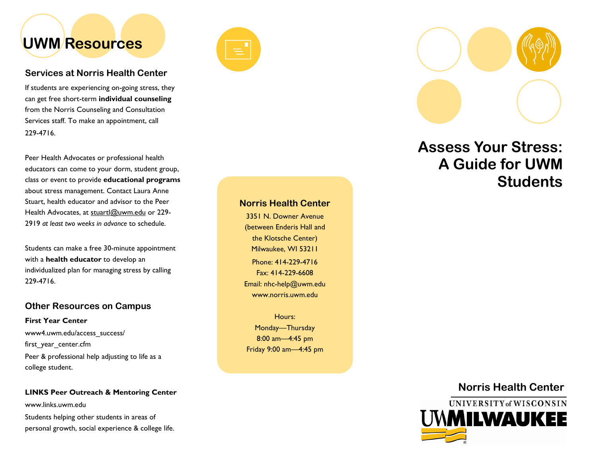# UWM Resources

### Services at Norris Health Center

If students are experiencing on-going stress, they can get free short-term individual counseling from the Norris Counseling and Consultation Services staff. To make an appointment, call 229-4716.

Peer Health Advocates or professional health educators can come to your dorm, student group, class or event to provide educational programs about stress management. Contact Laura Anne Stuart, health educator and advisor to the Peer Health Advocates, at stuartl@uwm.edu or 229-2919 at least two weeks in advance to schedule.

Students can make a free 30-minute appointment with a health educator to develop an individualized plan for managing stress by calling 229-4716.

# Other Resources on Campus

First Year Center www4.uwm.edu/access\_success/first\_year\_center.cfm Peer & professional help adjusting to life as a college student.

### LINKS Peer Outreach & Mentoring Center

www.links.uwm.edu

Students helping other students in areas of personal growth, social experience & college life.





# Assess Your Stress: A Guide for UWM **Students**

### Norris Health Center

Phone: 414-229-4716 Fax: 414-229-6608 Email: nhc-help@uwm.edu www.norris.uwm.edu 3351 N. Downer Avenue (between Enderis Hall and the Klotsche Center) Milwaukee, WI 53211

Hours: Monday—Thursday 8:00 am—4:45 pm Friday 9:00 am—4:45 pm

# Norris Health Center